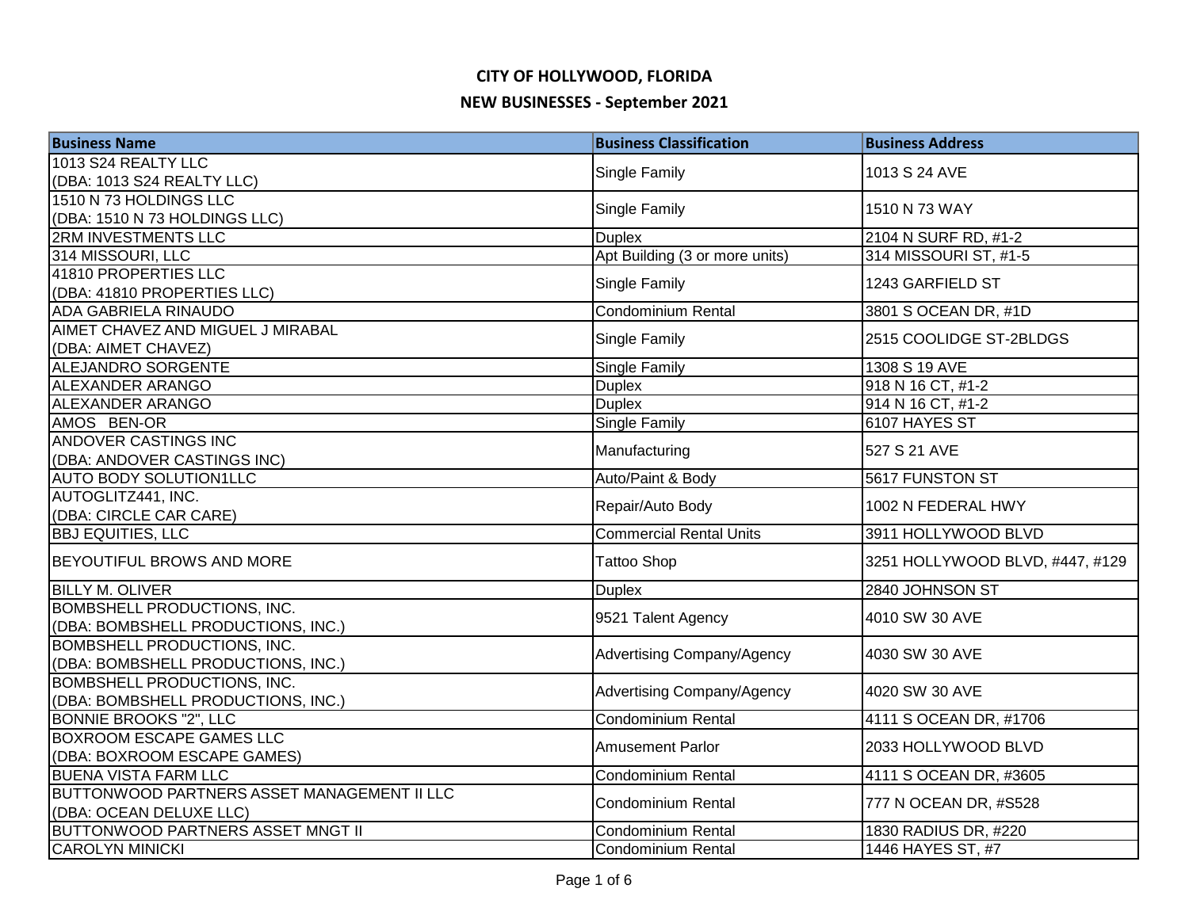| <b>Business Name</b>                        | <b>Business Classification</b>    | <b>Business Address</b>         |
|---------------------------------------------|-----------------------------------|---------------------------------|
| 1013 S24 REALTY LLC                         |                                   |                                 |
| (DBA: 1013 S24 REALTY LLC)                  | Single Family                     | 1013 S 24 AVE                   |
| 1510 N 73 HOLDINGS LLC                      | <b>Single Family</b>              | 1510 N 73 WAY                   |
| (DBA: 1510 N 73 HOLDINGS LLC)               |                                   |                                 |
| 2RM INVESTMENTS LLC                         | <b>Duplex</b>                     | 2104 N SURF RD, #1-2            |
| 314 MISSOURI, LLC                           | Apt Building (3 or more units)    | 314 MISSOURI ST, #1-5           |
| 41810 PROPERTIES LLC                        | Single Family                     | 1243 GARFIELD ST                |
| (DBA: 41810 PROPERTIES LLC)                 |                                   |                                 |
| <b>ADA GABRIELA RINAUDO</b>                 | Condominium Rental                | 3801 S OCEAN DR, #1D            |
| AIMET CHAVEZ AND MIGUEL J MIRABAL           | Single Family                     | 2515 COOLIDGE ST-2BLDGS         |
| (DBA: AIMET CHAVEZ)                         |                                   |                                 |
| ALEJANDRO SORGENTE                          | Single Family                     | 1308 S 19 AVE                   |
| ALEXANDER ARANGO                            | <b>Duplex</b>                     | 918 N 16 CT, #1-2               |
| <b>ALEXANDER ARANGO</b>                     | <b>Duplex</b>                     | 914 N 16 CT, #1-2               |
| AMOS BEN-OR                                 | Single Family                     | 6107 HAYES ST                   |
| ANDOVER CASTINGS INC                        | Manufacturing                     | 527 S 21 AVE                    |
| (DBA: ANDOVER CASTINGS INC)                 |                                   |                                 |
| <b>AUTO BODY SOLUTION1LLC</b>               | Auto/Paint & Body                 | 5617 FUNSTON ST                 |
| AUTOGLITZ441, INC.                          | Repair/Auto Body                  | 1002 N FEDERAL HWY              |
| (DBA: CIRCLE CAR CARE)                      |                                   |                                 |
| <b>BBJ EQUITIES, LLC</b>                    | <b>Commercial Rental Units</b>    | 3911 HOLLYWOOD BLVD             |
| <b>BEYOUTIFUL BROWS AND MORE</b>            | <b>Tattoo Shop</b>                | 3251 HOLLYWOOD BLVD, #447, #129 |
| <b>BILLY M. OLIVER</b>                      | <b>Duplex</b>                     | 2840 JOHNSON ST                 |
| BOMBSHELL PRODUCTIONS, INC.                 |                                   |                                 |
| (DBA: BOMBSHELL PRODUCTIONS, INC.)          | 9521 Talent Agency                | 4010 SW 30 AVE                  |
| BOMBSHELL PRODUCTIONS, INC.                 |                                   | 4030 SW 30 AVE                  |
| (DBA: BOMBSHELL PRODUCTIONS, INC.)          | Advertising Company/Agency        |                                 |
| BOMBSHELL PRODUCTIONS, INC.                 | <b>Advertising Company/Agency</b> | 4020 SW 30 AVE                  |
| (DBA: BOMBSHELL PRODUCTIONS, INC.)          |                                   |                                 |
| <b>BONNIE BROOKS "2", LLC</b>               | <b>Condominium Rental</b>         | 4111 S OCEAN DR, #1706          |
| <b>BOXROOM ESCAPE GAMES LLC</b>             | <b>Amusement Parlor</b>           | 2033 HOLLYWOOD BLVD             |
| (DBA: BOXROOM ESCAPE GAMES)                 |                                   |                                 |
| <b>BUENA VISTA FARM LLC</b>                 | <b>Condominium Rental</b>         | 4111 S OCEAN DR, #3605          |
| BUTTONWOOD PARTNERS ASSET MANAGEMENT II LLC | <b>Condominium Rental</b>         | 777 N OCEAN DR, #S528           |
| (DBA: OCEAN DELUXE LLC)                     |                                   |                                 |
| <b>BUTTONWOOD PARTNERS ASSET MNGT II</b>    | Condominium Rental                | 1830 RADIUS DR, #220            |
| <b>CAROLYN MINICKI</b>                      | Condominium Rental                | 1446 HAYES ST, #7               |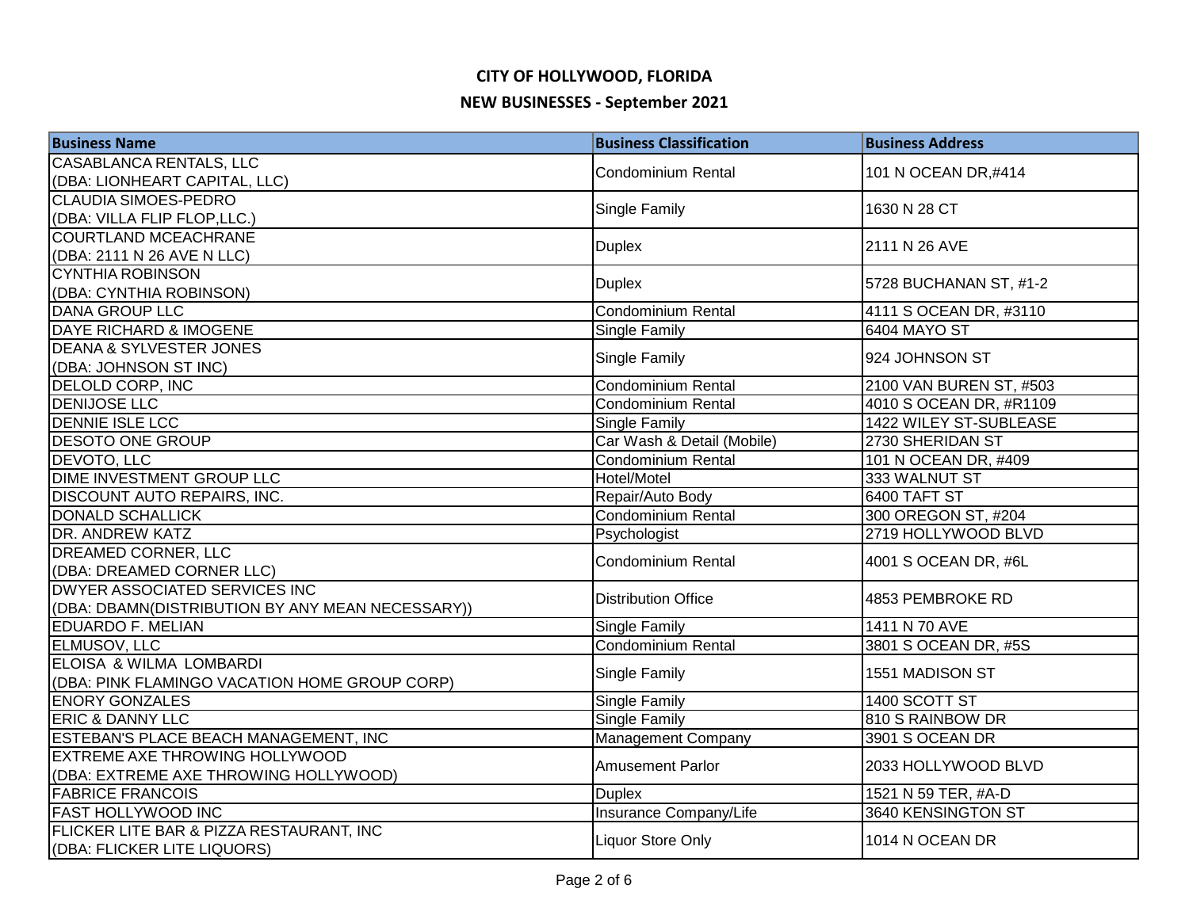| <b>Business Name</b>                             | <b>Business Classification</b> | <b>Business Address</b> |
|--------------------------------------------------|--------------------------------|-------------------------|
| <b>CASABLANCA RENTALS, LLC</b>                   | Condominium Rental             | 101 N OCEAN DR,#414     |
| (DBA: LIONHEART CAPITAL, LLC)                    |                                |                         |
| <b>CLAUDIA SIMOES-PEDRO</b>                      | Single Family                  | 1630 N 28 CT            |
| (DBA: VILLA FLIP FLOP,LLC.)                      |                                |                         |
| <b>COURTLAND MCEACHRANE</b>                      | <b>Duplex</b>                  | 2111 N 26 AVE           |
| (DBA: 2111 N 26 AVE N LLC)                       |                                |                         |
| <b>CYNTHIA ROBINSON</b>                          | <b>Duplex</b>                  | 5728 BUCHANAN ST, #1-2  |
| (DBA: CYNTHIA ROBINSON)                          |                                |                         |
| <b>DANA GROUP LLC</b>                            | <b>Condominium Rental</b>      | 4111 S OCEAN DR, #3110  |
| <b>DAYE RICHARD &amp; IMOGENE</b>                | <b>Single Family</b>           | <b>6404 MAYO ST</b>     |
| <b>DEANA &amp; SYLVESTER JONES</b>               | Single Family                  | 924 JOHNSON ST          |
| (DBA: JOHNSON ST INC)                            |                                |                         |
| <b>DELOLD CORP, INC</b>                          | <b>Condominium Rental</b>      | 2100 VAN BUREN ST, #503 |
| <b>DENIJOSE LLC</b>                              | <b>Condominium Rental</b>      | 4010 S OCEAN DR, #R1109 |
| <b>DENNIE ISLE LCC</b>                           | <b>Single Family</b>           | 1422 WILEY ST-SUBLEASE  |
| DESOTO ONE GROUP                                 | Car Wash & Detail (Mobile)     | 2730 SHERIDAN ST        |
| DEVOTO, LLC                                      | Condominium Rental             | 101 N OCEAN DR, #409    |
| DIME INVESTMENT GROUP LLC                        | Hotel/Motel                    | 333 WALNUT ST           |
| <b>DISCOUNT AUTO REPAIRS, INC.</b>               | Repair/Auto Body               | 6400 TAFT ST            |
| <b>DONALD SCHALLICK</b>                          | Condominium Rental             | 300 OREGON ST, #204     |
| <b>DR. ANDREW KATZ</b>                           | Psychologist                   | 2719 HOLLYWOOD BLVD     |
| <b>DREAMED CORNER, LLC</b>                       | Condominium Rental             | 4001 S OCEAN DR, #6L    |
| (DBA: DREAMED CORNER LLC)                        |                                |                         |
| DWYER ASSOCIATED SERVICES INC                    | <b>Distribution Office</b>     | 4853 PEMBROKE RD        |
| (DBA: DBAMN(DISTRIBUTION BY ANY MEAN NECESSARY)) |                                |                         |
| <b>EDUARDO F. MELIAN</b>                         | <b>Single Family</b>           | 1411 N 70 AVE           |
| <b>ELMUSOV, LLC</b>                              | <b>Condominium Rental</b>      | 3801 S OCEAN DR, #5S    |
| <b>ELOISA &amp; WILMA LOMBARDI</b>               | <b>Single Family</b>           | 1551 MADISON ST         |
| (DBA: PINK FLAMINGO VACATION HOME GROUP CORP)    |                                |                         |
| <b>ENORY GONZALES</b>                            | <b>Single Family</b>           | 1400 SCOTT ST           |
| <b>ERIC &amp; DANNY LLC</b>                      | <b>Single Family</b>           | 810 S RAINBOW DR        |
| ESTEBAN'S PLACE BEACH MANAGEMENT, INC            | Management Company             | 3901 S OCEAN DR         |
| <b>EXTREME AXE THROWING HOLLYWOOD</b>            | Amusement Parlor               | 2033 HOLLYWOOD BLVD     |
| (DBA: EXTREME AXE THROWING HOLLYWOOD)            |                                |                         |
| <b>FABRICE FRANCOIS</b>                          | <b>Duplex</b>                  | 1521 N 59 TER, #A-D     |
| <b>FAST HOLLYWOOD INC</b>                        | Insurance Company/Life         | 3640 KENSINGTON ST      |
| FLICKER LITE BAR & PIZZA RESTAURANT, INC         | <b>Liquor Store Only</b>       | 1014 N OCEAN DR         |
| (DBA: FLICKER LITE LIQUORS)                      |                                |                         |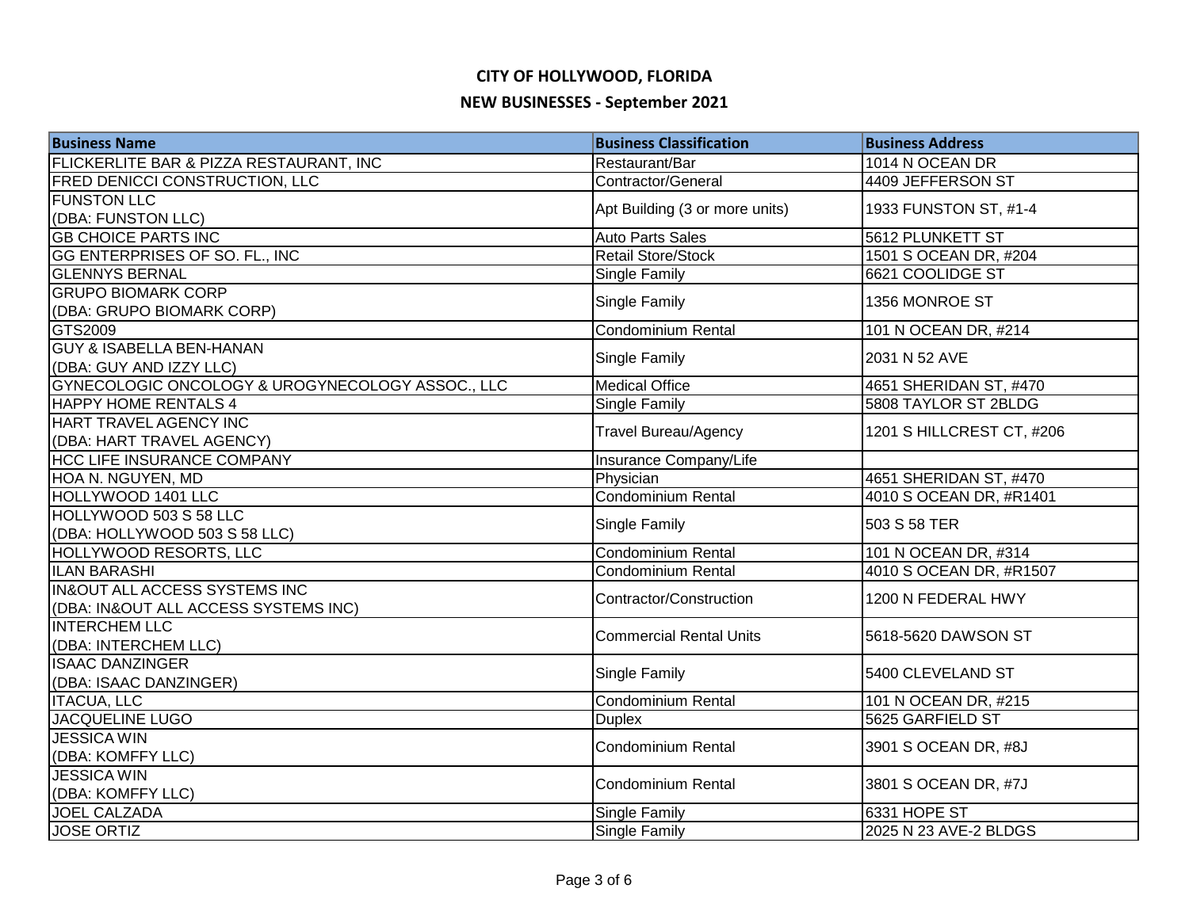| <b>Business Name</b>                             | <b>Business Classification</b> | <b>Business Address</b>   |
|--------------------------------------------------|--------------------------------|---------------------------|
| FLICKERLITE BAR & PIZZA RESTAURANT, INC          | Restaurant/Bar                 | 1014 N OCEAN DR           |
| <b>FRED DENICCI CONSTRUCTION, LLC</b>            | Contractor/General             | 4409 JEFFERSON ST         |
| <b>FUNSTON LLC</b>                               | Apt Building (3 or more units) | 1933 FUNSTON ST, #1-4     |
| (DBA: FUNSTON LLC)                               |                                |                           |
| <b>GB CHOICE PARTS INC</b>                       | <b>Auto Parts Sales</b>        | 5612 PLUNKETT ST          |
| GG ENTERPRISES OF SO. FL., INC                   | <b>Retail Store/Stock</b>      | 1501 S OCEAN DR, #204     |
| <b>GLENNYS BERNAL</b>                            | Single Family                  | 6621 COOLIDGE ST          |
| <b>GRUPO BIOMARK CORP</b>                        | Single Family                  | 1356 MONROE ST            |
| (DBA: GRUPO BIOMARK CORP)                        |                                |                           |
| GTS2009                                          | <b>Condominium Rental</b>      | 101 N OCEAN DR, #214      |
| <b>GUY &amp; ISABELLA BEN-HANAN</b>              | Single Family                  | 2031 N 52 AVE             |
| (DBA: GUY AND IZZY LLC)                          |                                |                           |
| GYNECOLOGIC ONCOLOGY & UROGYNECOLOGY ASSOC., LLC | <b>Medical Office</b>          | 4651 SHERIDAN ST, #470    |
| <b>HAPPY HOME RENTALS 4</b>                      | <b>Single Family</b>           | 5808 TAYLOR ST 2BLDG      |
| HART TRAVEL AGENCY INC                           | <b>Travel Bureau/Agency</b>    | 1201 S HILLCREST CT, #206 |
| (DBA: HART TRAVEL AGENCY)                        |                                |                           |
| <b>HCC LIFE INSURANCE COMPANY</b>                | Insurance Company/Life         |                           |
| HOA N. NGUYEN, MD                                | Physician                      | 4651 SHERIDAN ST, #470    |
| HOLLYWOOD 1401 LLC                               | <b>Condominium Rental</b>      | 4010 S OCEAN DR, #R1401   |
| HOLLYWOOD 503 S 58 LLC                           | Single Family                  | 503 S 58 TER              |
| (DBA: HOLLYWOOD 503 S 58 LLC)                    |                                |                           |
| HOLLYWOOD RESORTS, LLC                           | Condominium Rental             | 101 N OCEAN DR, #314      |
| <b>ILAN BARASHI</b>                              | Condominium Rental             | 4010 S OCEAN DR, #R1507   |
| <b>IN&amp;OUT ALL ACCESS SYSTEMS INC</b>         | Contractor/Construction        | 1200 N FEDERAL HWY        |
| (DBA: IN&OUT ALL ACCESS SYSTEMS INC)             |                                |                           |
| <b>INTERCHEM LLC</b>                             | <b>Commercial Rental Units</b> | 5618-5620 DAWSON ST       |
| (DBA: INTERCHEM LLC)                             |                                |                           |
| <b>ISAAC DANZINGER</b>                           | Single Family                  | 5400 CLEVELAND ST         |
| (DBA: ISAAC DANZINGER)                           |                                |                           |
| <b>ITACUA, LLC</b>                               | <b>Condominium Rental</b>      | 101 N OCEAN DR, #215      |
| <b>JACQUELINE LUGO</b>                           | <b>Duplex</b>                  | 5625 GARFIELD ST          |
| <b>JESSICA WIN</b>                               | <b>Condominium Rental</b>      | 3901 S OCEAN DR, #8J      |
| (DBA: KOMFFY LLC)                                |                                |                           |
| <b>JESSICA WIN</b>                               | <b>Condominium Rental</b>      | 3801 S OCEAN DR, #7J      |
| (DBA: KOMFFY LLC)<br><b>JOEL CALZADA</b>         |                                |                           |
|                                                  | Single Family                  | 6331 HOPE ST              |
| <b>JOSE ORTIZ</b>                                | <b>Single Family</b>           | 2025 N 23 AVE-2 BLDGS     |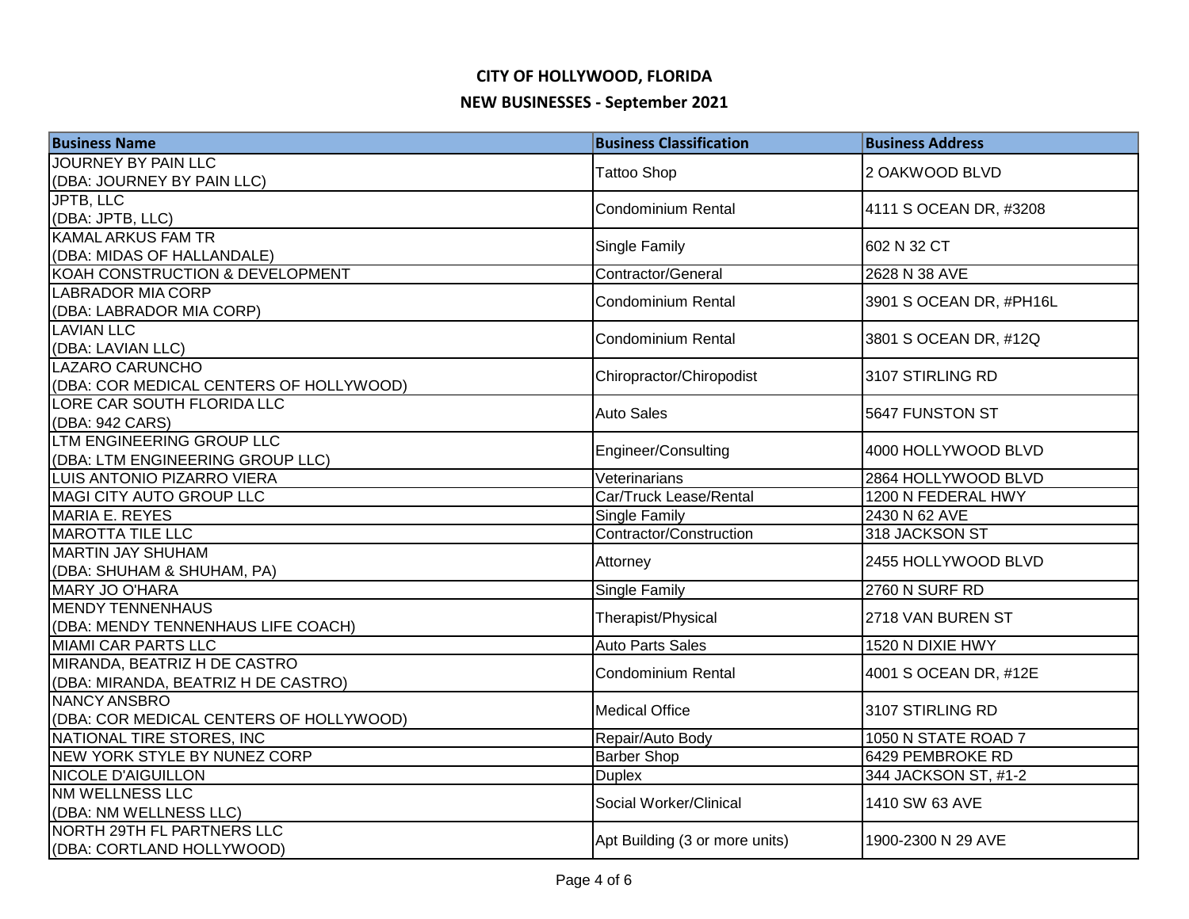| <b>Business Name</b>                                             | <b>Business Classification</b> | <b>Business Address</b> |
|------------------------------------------------------------------|--------------------------------|-------------------------|
| <b>JOURNEY BY PAIN LLC</b>                                       | <b>Tattoo Shop</b>             |                         |
| (DBA: JOURNEY BY PAIN LLC)                                       |                                | 2 OAKWOOD BLVD          |
| <b>JPTB, LLC</b>                                                 | <b>Condominium Rental</b>      | 4111 S OCEAN DR, #3208  |
| (DBA: JPTB, LLC)                                                 |                                |                         |
| <b>KAMAL ARKUS FAM TR</b>                                        | Single Family                  | 602 N 32 CT             |
| (DBA: MIDAS OF HALLANDALE)                                       |                                |                         |
| KOAH CONSTRUCTION & DEVELOPMENT                                  | Contractor/General             | 2628 N 38 AVE           |
| <b>LABRADOR MIA CORP</b>                                         | <b>Condominium Rental</b>      | 3901 S OCEAN DR, #PH16L |
| (DBA: LABRADOR MIA CORP)                                         |                                |                         |
| <b>LAVIAN LLC</b>                                                | <b>Condominium Rental</b>      | 3801 S OCEAN DR, #12Q   |
| (DBA: LAVIAN LLC)                                                |                                |                         |
| LAZARO CARUNCHO                                                  | Chiropractor/Chiropodist       | 3107 STIRLING RD        |
| (DBA: COR MEDICAL CENTERS OF HOLLYWOOD)                          |                                |                         |
| LORE CAR SOUTH FLORIDA LLC                                       | <b>Auto Sales</b>              | 5647 FUNSTON ST         |
| (DBA: 942 CARS)                                                  |                                |                         |
| LTM ENGINEERING GROUP LLC                                        | Engineer/Consulting            | 4000 HOLLYWOOD BLVD     |
| (DBA: LTM ENGINEERING GROUP LLC)                                 |                                |                         |
| LUIS ANTONIO PIZARRO VIERA                                       | Veterinarians                  | 2864 HOLLYWOOD BLVD     |
| MAGI CITY AUTO GROUP LLC                                         | Car/Truck Lease/Rental         | 1200 N FEDERAL HWY      |
| MARIA E. REYES                                                   | <b>Single Family</b>           | 2430 N 62 AVE           |
| <b>MAROTTA TILE LLC</b>                                          | Contractor/Construction        | 318 JACKSON ST          |
| <b>MARTIN JAY SHUHAM</b>                                         | Attorney                       | 2455 HOLLYWOOD BLVD     |
| (DBA: SHUHAM & SHUHAM, PA)                                       |                                |                         |
| MARY JO O'HARA                                                   | Single Family                  | 2760 N SURF RD          |
| <b>MENDY TENNENHAUS</b>                                          | Therapist/Physical             | 2718 VAN BUREN ST       |
| (DBA: MENDY TENNENHAUS LIFE COACH)<br><b>MIAMI CAR PARTS LLC</b> | <b>Auto Parts Sales</b>        |                         |
| MIRANDA, BEATRIZ H DE CASTRO                                     |                                | 1520 N DIXIE HWY        |
|                                                                  | <b>Condominium Rental</b>      | 4001 S OCEAN DR, #12E   |
| (DBA: MIRANDA, BEATRIZ H DE CASTRO)<br>NANCY ANSBRO              |                                |                         |
| (DBA: COR MEDICAL CENTERS OF HOLLYWOOD)                          | <b>Medical Office</b>          | 3107 STIRLING RD        |
| NATIONAL TIRE STORES, INC                                        | Repair/Auto Body               | 1050 N STATE ROAD 7     |
| NEW YORK STYLE BY NUNEZ CORP                                     | <b>Barber Shop</b>             | 6429 PEMBROKE RD        |
| <b>NICOLE D'AIGUILLON</b>                                        | <b>Duplex</b>                  | 344 JACKSON ST, #1-2    |
| NM WELLNESS LLC                                                  |                                |                         |
| (DBA: NM WELLNESS LLC)                                           | Social Worker/Clinical         | 1410 SW 63 AVE          |
| NORTH 29TH FL PARTNERS LLC                                       |                                |                         |
| (DBA: CORTLAND HOLLYWOOD)                                        | Apt Building (3 or more units) | 1900-2300 N 29 AVE      |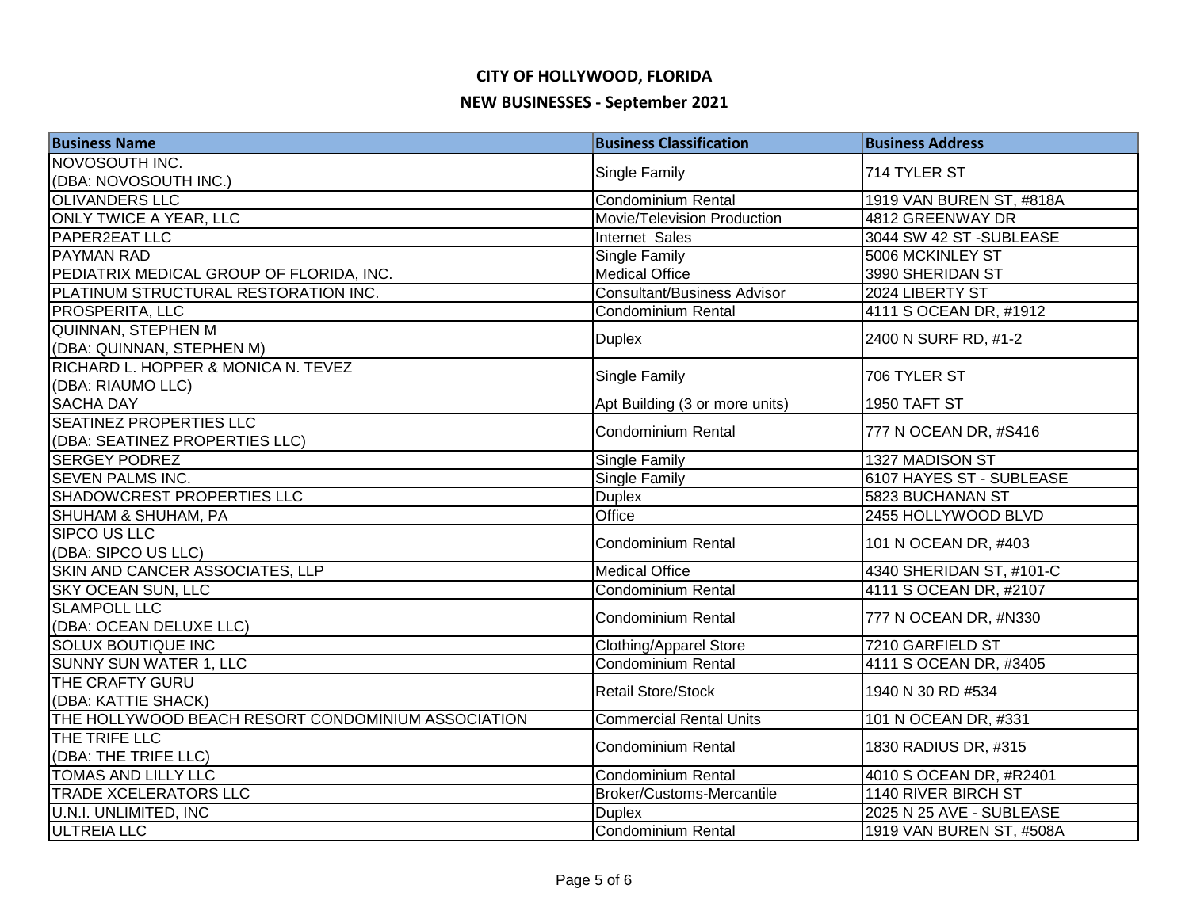| <b>Business Name</b>                               | <b>Business Classification</b>     | <b>Business Address</b>  |
|----------------------------------------------------|------------------------------------|--------------------------|
| NOVOSOUTH INC.                                     |                                    |                          |
| (DBA: NOVOSOUTH INC.)                              | Single Family                      | 714 TYLER ST             |
| <b>OLIVANDERS LLC</b>                              | Condominium Rental                 | 1919 VAN BUREN ST, #818A |
| <b>ONLY TWICE A YEAR, LLC</b>                      | Movie/Television Production        | 4812 GREENWAY DR         |
| PAPER2EAT LLC                                      | Internet Sales                     | 3044 SW 42 ST -SUBLEASE  |
| <b>PAYMAN RAD</b>                                  | <b>Single Family</b>               | 5006 MCKINLEY ST         |
| PEDIATRIX MEDICAL GROUP OF FLORIDA, INC.           | <b>Medical Office</b>              | 3990 SHERIDAN ST         |
| PLATINUM STRUCTURAL RESTORATION INC.               | <b>Consultant/Business Advisor</b> | 2024 LIBERTY ST          |
| PROSPERITA, LLC                                    | <b>Condominium Rental</b>          | 4111 S OCEAN DR, #1912   |
| <b>QUINNAN, STEPHEN M</b>                          |                                    |                          |
| (DBA: QUINNAN, STEPHEN M)                          | <b>Duplex</b>                      | 2400 N SURF RD, #1-2     |
| RICHARD L. HOPPER & MONICA N. TEVEZ                | Single Family                      | 706 TYLER ST             |
| (DBA: RIAUMO LLC)                                  |                                    |                          |
| <b>SACHA DAY</b>                                   | Apt Building (3 or more units)     | 1950 TAFT ST             |
| <b>SEATINEZ PROPERTIES LLC</b>                     | <b>Condominium Rental</b>          | 777 N OCEAN DR, #S416    |
| (DBA: SEATINEZ PROPERTIES LLC)                     |                                    |                          |
| <b>SERGEY PODREZ</b>                               | Single Family                      | 1327 MADISON ST          |
| <b>SEVEN PALMS INC.</b>                            | Single Family                      | 6107 HAYES ST - SUBLEASE |
| SHADOWCREST PROPERTIES LLC                         | <b>Duplex</b>                      | 5823 BUCHANAN ST         |
| SHUHAM & SHUHAM, PA                                | Office                             | 2455 HOLLYWOOD BLVD      |
| <b>SIPCO US LLC</b>                                | <b>Condominium Rental</b>          | 101 N OCEAN DR, #403     |
| (DBA: SIPCO US LLC)                                |                                    |                          |
| SKIN AND CANCER ASSOCIATES, LLP                    | <b>Medical Office</b>              | 4340 SHERIDAN ST, #101-C |
| <b>SKY OCEAN SUN, LLC</b>                          | <b>Condominium Rental</b>          | 4111 S OCEAN DR, #2107   |
| <b>SLAMPOLL LLC</b>                                | <b>Condominium Rental</b>          | 777 N OCEAN DR, #N330    |
| (DBA: OCEAN DELUXE LLC)                            |                                    |                          |
| <b>SOLUX BOUTIQUE INC</b>                          | <b>Clothing/Apparel Store</b>      | 7210 GARFIELD ST         |
| SUNNY SUN WATER 1, LLC                             | <b>Condominium Rental</b>          | 4111 S OCEAN DR, #3405   |
| THE CRAFTY GURU                                    | Retail Store/Stock                 | 1940 N 30 RD #534        |
| (DBA: KATTIE SHACK)                                |                                    |                          |
| THE HOLLYWOOD BEACH RESORT CONDOMINIUM ASSOCIATION | <b>Commercial Rental Units</b>     | 101 N OCEAN DR, #331     |
| THE TRIFE LLC                                      | <b>Condominium Rental</b>          | 1830 RADIUS DR, #315     |
| (DBA: THE TRIFE LLC)                               |                                    |                          |
| <b>TOMAS AND LILLY LLC</b>                         | Condominium Rental                 | 4010 S OCEAN DR, #R2401  |
| <b>TRADE XCELERATORS LLC</b>                       | Broker/Customs-Mercantile          | 1140 RIVER BIRCH ST      |
| <b>U.N.I. UNLIMITED, INC</b>                       | <b>Duplex</b>                      | 2025 N 25 AVE - SUBLEASE |
| <b>ULTREIA LLC</b>                                 | <b>Condominium Rental</b>          | 1919 VAN BUREN ST, #508A |